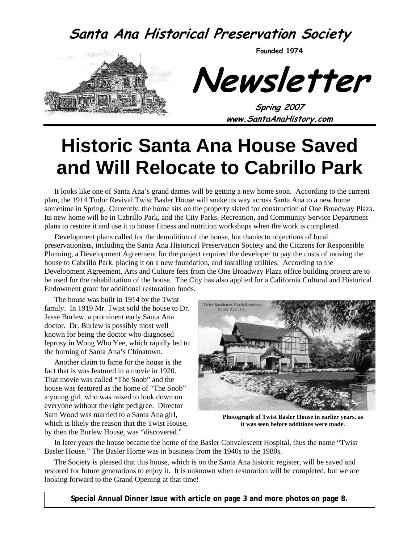### **Santa Ana Historical Preservation Society**

**Founded 1974** 



**Newsletter** 

**Spring 2007 www.SantaAnaHistory.com** 

# **Historic Santa Ana House Saved and Will Relocate to Cabrillo Park**

It looks like one of Santa Ana's grand dames will be getting a new home soon. According to the current plan, the 1914 Tudor Revival Twist Basler House will snake its way across Santa Ana to a new home sometime in Spring. Currently, the home sits on the property slated for construction of One Broadway Plaza. Its new home will be in Cabrillo Park, and the City Parks, Recreation, and Community Service Department plans to restore it and use it to house fitness and nutrition workshops when the work is completed.

Development plans called for the demolition of the house, but thanks to objections of local preservationists, including the Santa Ana Historical Preservation Society and the Citizens for Responsible Planning, a Development Agreement for the project required the developer to pay the costs of moving the house to Cabrillo Park, placing it on a new foundation, and installing utilities. According to the Development Agreement, Arts and Culture fees from the One Broadway Plaza office building project are to be used for the rehabilitation of the house. The City has also applied for a California Cultural and Historical Endowment grant for additional restoration funds.

The house was built in 1914 by the Twist family. In 1919 Mr. Twist sold the house to Dr. Jesse Burlew, a prominent early Santa Ana doctor. Dr. Burlew is possibly most well known for being the doctor who diagnosed leprosy in Wong Who Yee, which rapidly led to the burning of Santa Ana's Chinatown.

Another claim to fame for the house is the fact that is was featured in a movie in 1920. That movie was called "The Snob" and the house was featured as the home of "The Snob" a young girl, who was raised to look down on everyone without the right pedigree. Director Sam Wood was married to a Santa Ana girl, which is likely the reason that the Twist House, by then the Burlew House, was "discovered."



**Photograph of Twist Basler House in earlier years, as it was seen before additions were made.** 

In later years the house became the home of the Basler Convalescent Hospital, thus the name "Twist Basler House." The Basler Home was in business from the 1940s to the 1980s.

The Society is pleased that this house, which is on the Santa Ana historic register, will be saved and restored for future generations to enjoy it. It is unknown when restoration will be completed, but we are looking forward to the Grand Opening at that time!

**Special Annual Dinner Issue with article on page 3 and more photos on page 8.**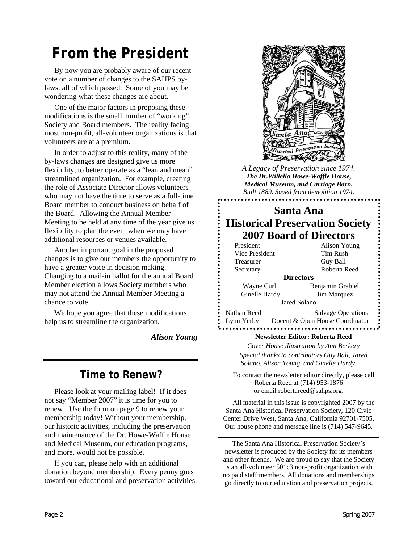# *From the President*

By now you are probably aware of our recent vote on a number of changes to the SAHPS bylaws, all of which passed. Some of you may be wondering what these changes are about.

One of the major factors in proposing these modifications is the small number of "working" Society and Board members. The reality facing most non-profit, all-volunteer organizations is that volunteers are at a premium.

In order to adjust to this reality, many of the by-laws changes are designed give us more flexibility, to better operate as a "lean and mean" streamlined organization. For example, creating the role of Associate Director allows volunteers who may not have the time to serve as a full-time Board member to conduct business on behalf of the Board. Allowing the Annual Member Meeting to be held at any time of the year give us flexibility to plan the event when we may have additional resources or venues available.

Another important goal in the proposed changes is to give our members the opportunity to have a greater voice in decision making. Changing to a mail-in ballot for the annual Board Member election allows Society members who may not attend the Annual Member Meeting a chance to vote.

We hope you agree that these modifications help us to streamline the organization.

*Alison Young* 

#### **Time to Renew?**

Please look at your mailing label! If it does not say "Member 2007" it is time for you to renew! Use the form on page 9 to renew your membership today! Without your membership, our historic activities, including the preservation and maintenance of the Dr. Howe-Waffle House and Medical Museum, our education programs, and more, would not be possible.

If you can, please help with an additional donation beyond membership. Every penny goes toward our educational and preservation activities.



*A Legacy of Preservation since 1974. The Dr.Willella Howe-Waffle House, Medical Museum, and Carriage Barn. Built 1889. Saved from demolition 1974.* 

#### **Santa Ana Historical Preservation Society 2007 Board of Directors**

| President        | <b>Alison Young</b>             |  |  |  |  |
|------------------|---------------------------------|--|--|--|--|
| Vice President   | Tim Rush                        |  |  |  |  |
| Treasurer        | Guy Ball                        |  |  |  |  |
| Secretary        | Roberta Reed                    |  |  |  |  |
| <b>Directors</b> |                                 |  |  |  |  |
| Wayne Curl       | Benjamin Grabiel                |  |  |  |  |
| Ginelle Hardy    | Jim Marquez                     |  |  |  |  |
| Jared Solano     |                                 |  |  |  |  |
| Nathan Reed      | <b>Salvage Operations</b>       |  |  |  |  |
| Lynn Yerby       | Docent & Open House Coordinator |  |  |  |  |
|                  |                                 |  |  |  |  |

#### **Newsletter Editor: Roberta Reed**

*Cover House illustration by Ann Berkery Special thanks to contributors Guy Ball, Jared Solano, Alison Young, and Ginelle Hardy.* 

To contact the newsletter editor directly, please call Roberta Reed at (714) 953-1876 or email robertareed@sahps.org.

All material in this issue is copyrighted 2007 by the Santa Ana Historical Preservation Society, 120 Civic Center Drive West, Santa Ana, California 92701-7505. Our house phone and message line is (714) 547-9645.

The Santa Ana Historical Preservation Society's newsletter is produced by the Society for its members and other friends. We are proud to say that the Society is an all-volunteer 501c3 non-profit organization with no paid staff members. All donations and memberships go directly to our education and preservation projects.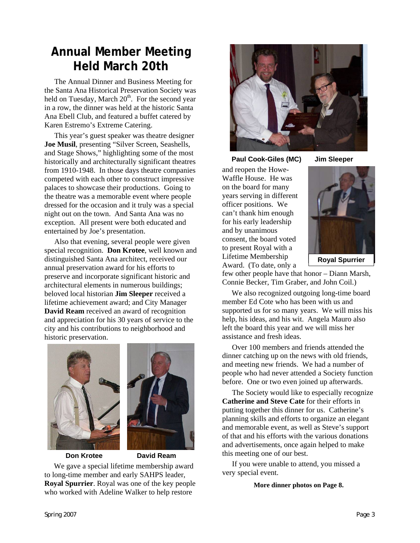### **Annual Member Meeting Held March 20th**

The Annual Dinner and Business Meeting for the Santa Ana Historical Preservation Society was held on Tuesday, March  $20<sup>th</sup>$ . For the second year in a row, the dinner was held at the historic Santa Ana Ebell Club, and featured a buffet catered by Karen Estremo's Extreme Catering.

This year's guest speaker was theatre designer **Joe Musil**, presenting "Silver Screen, Seashells, and Stage Shows," highlighting some of the most historically and architecturally significant theatres from 1910-1948. In those days theatre companies competed with each other to construct impressive palaces to showcase their productions. Going to the theatre was a memorable event where people dressed for the occasion and it truly was a special night out on the town. And Santa Ana was no exception. All present were both educated and entertained by Joe's presentation.

Also that evening, several people were given special recognition. **Don Krotee**, well known and distinguished Santa Ana architect, received our annual preservation award for his efforts to preserve and incorporate significant historic and architectural elements in numerous buildings; beloved local historian **Jim Sleeper** received a lifetime achievement award; and City Manager **David Ream** received an award of recognition and appreciation for his 30 years of service to the city and his contributions to neighborhood and historic preservation.



#### **Don Krotee David Ream**

We gave a special lifetime membership award to long-time member and early SAHPS leader, **Royal Spurrier**. Royal was one of the key people

who worked with Adeline Walker to help restore



 **Paul Cook-Giles (MC) Jim Sleeper** 

and reopen the Howe-Waffle House. He was on the board for many years serving in different officer positions. We can't thank him enough for his early leadership and by unanimous consent, the board voted to present Royal with a Lifetime Membership Award. (To date, only a



few other people have that honor – Diann Marsh, Connie Becker, Tim Graber, and John Coil.)

We also recognized outgoing long-time board member Ed Cote who has been with us and supported us for so many years. We will miss his help, his ideas, and his wit. Angela Mauro also left the board this year and we will miss her assistance and fresh ideas.

Over 100 members and friends attended the dinner catching up on the news with old friends, and meeting new friends. We had a number of people who had never attended a Society function before. One or two even joined up afterwards.

The Society would like to especially recognize **Catherine and Steve Cate** for their efforts in putting together this dinner for us. Catherine's planning skills and efforts to organize an elegant and memorable event, as well as Steve's support of that and his efforts with the various donations and advertisements, once again helped to make this meeting one of our best.

If you were unable to attend, you missed a very special event.

**More dinner photos on Page 8.**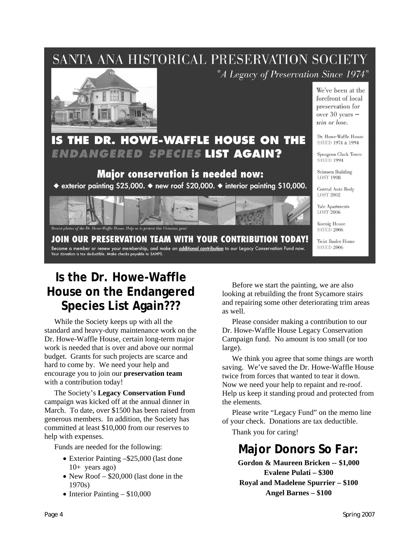### SANTA ANA HISTORICAL PRESERVATION SOCIETY



"A Legacy of Preservation Since 1974"



### Major conservation is needed now:

◆ exterior painting \$25,000. ◆ new roof \$20,000. ◆ interior painting \$10,000.



**JOIN OUR PRESERVATION TEAM WITH YOUR CONTRIBUTION TODAY!** Become a member or renew your membership, and make an **additional contribution** to our Legacy Conservation Fund now. Your donation is tax deductible. Make checks payable to SAHPS.

**SAVED 2006 Twist Basler Home SAVED 2006** 

We've been at the forefront of local preservation for over  $30$  years  $$ win or lose.

Dr. Howe-Waffle House

Spurgeon Clock Tower **SAVED 1994** 

Seimsen Building **LOST 1998** 

Central Auto Body **LOST 2002** Yale Apartments **LOST 2006** Koenig House

SAVED 1974 & 1994

#### **Is the Dr. Howe-Waffle House on the Endangered Species List Again???**

While the Society keeps up with all the standard and heavy-duty maintenance work on the Dr. Howe-Waffle House, certain long-term major work is needed that is over and above our normal budget. Grants for such projects are scarce and hard to come by. We need your help and encourage you to join our **preservation team** with a contribution today!

The Society's **Legacy Conservation Fund** campaign was kicked off at the annual dinner in March. To date, over \$1500 has been raised from generous members. In addition, the Society has committed at least \$10,000 from our reserves to help with expenses.

Funds are needed for the following:

- Exterior Painting –\$25,000 (last done 10+ years ago)
- New Roof \$20,000 (last done in the 1970s)
- Interior Painting \$10,000

Before we start the painting, we are also looking at rebuilding the front Sycamore stairs and repairing some other deteriorating trim areas as well.

Please consider making a contribution to our Dr. Howe-Waffle House Legacy Conservation Campaign fund. No amount is too small (or too large).

We think you agree that some things are worth saving. We've saved the Dr. Howe-Waffle House twice from forces that wanted to tear it down. Now we need your help to repaint and re-roof. Help us keep it standing proud and protected from the elements.

Please write "Legacy Fund" on the memo line of your check. Donations are tax deductible.

Thank you for caring!

#### **Major Donors So Far:**

**Gordon & Maureen Bricken -- \$1,000 Evalene Pulati – \$300 Royal and Madelene Spurrier – \$100 Angel Barnes – \$100**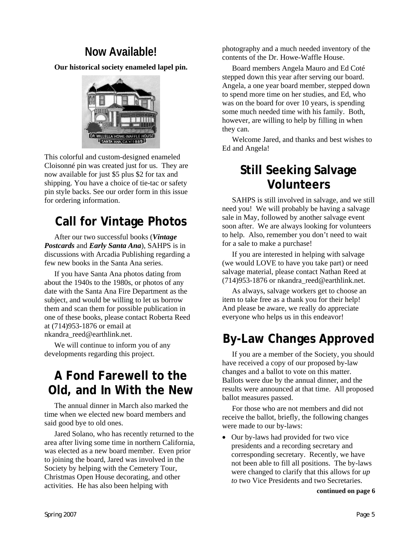#### **Now Available!**

**Our historical society enameled lapel pin.** 



This colorful and custom-designed enameled Cloisonné pin was created just for us. They are now available for just \$5 plus \$2 for tax and shipping. You have a choice of tie-tac or safety pin style backs. See our order form in this issue for ordering information.

#### **Call for Vintage Photos**

After our two successful books (*Vintage Postcards* and *Early Santa Ana*), SAHPS is in discussions with Arcadia Publishing regarding a few new books in the Santa Ana series.

If you have Santa Ana photos dating from about the 1940s to the 1980s, or photos of any date with the Santa Ana Fire Department as the subject, and would be willing to let us borrow them and scan them for possible publication in one of these books, please contact Roberta Reed at (714)953-1876 or email at nkandra\_reed@earthlink.net.

We will continue to inform you of any developments regarding this project.

### **A Fond Farewell to the Old, and In With the New**

The annual dinner in March also marked the time when we elected new board members and said good bye to old ones.

Jared Solano, who has recently returned to the area after living some time in northern California, was elected as a new board member. Even prior to joining the board, Jared was involved in the Society by helping with the Cemetery Tour, Christmas Open House decorating, and other activities. He has also been helping with

photography and a much needed inventory of the contents of the Dr. Howe-Waffle House.

Board members Angela Mauro and Ed Coté stepped down this year after serving our board. Angela, a one year board member, stepped down to spend more time on her studies, and Ed, who was on the board for over 10 years, is spending some much needed time with his family. Both, however, are willing to help by filling in when they can.

Welcome Jared, and thanks and best wishes to Ed and Angela!

### **Still Seeking Salvage Volunteers**

SAHPS is still involved in salvage, and we still need you! We will probably be having a salvage sale in May, followed by another salvage event soon after. We are always looking for volunteers to help. Also, remember you don't need to wait for a sale to make a purchase!

If you are interested in helping with salvage (we would LOVE to have you take part) or need salvage material, please contact Nathan Reed at  $(714)953-1876$  or nkandra reed@earthlink.net.

As always, salvage workers get to choose an item to take free as a thank you for their help! And please be aware, we really do appreciate everyone who helps us in this endeavor!

### **By-Law Changes Approved**

If you are a member of the Society, you should have received a copy of our proposed by-law changes and a ballot to vote on this matter. Ballots were due by the annual dinner, and the results were announced at that time. All proposed ballot measures passed.

For those who are not members and did not receive the ballot, briefly, the following changes were made to our by-laws:

• Our by-laws had provided for two vice presidents and a recording secretary and corresponding secretary. Recently, we have not been able to fill all positions. The by-laws were changed to clarify that this allows for *up to* two Vice Presidents and two Secretaries.

**continued on page 6**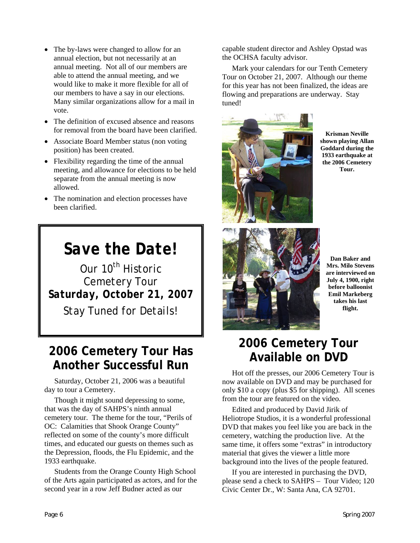- The by-laws were changed to allow for an annual election, but not necessarily at an annual meeting. Not all of our members are able to attend the annual meeting, and we would like to make it more flexible for all of our members to have a say in our elections. Many similar organizations allow for a mail in vote.
- The definition of excused absence and reasons for removal from the board have been clarified.
- Associate Board Member status (non voting position) has been created.
- Flexibility regarding the time of the annual meeting, and allowance for elections to be held separate from the annual meeting is now allowed.
- The nomination and election processes have been clarified.

## *Save the Date!*

*Our 10th Historic Cemetery Tour Saturday, October 21, 2007 Stay Tuned for Details!* 

#### **2006 Cemetery Tour Has Another Successful Run**

Saturday, October 21, 2006 was a beautiful day to tour a Cemetery.

Though it might sound depressing to some, that was the day of SAHPS's ninth annual cemetery tour. The theme for the tour, "Perils of OC: Calamities that Shook Orange County" reflected on some of the county's more difficult times, and educated our guests on themes such as the Depression, floods, the Flu Epidemic, and the 1933 earthquake.

Students from the Orange County High School of the Arts again participated as actors, and for the second year in a row Jeff Budner acted as our

capable student director and Ashley Opstad was the OCHSA faculty advisor.

Mark your calendars for our Tenth Cemetery Tour on October 21, 2007. Although our theme for this year has not been finalized, the ideas are flowing and preparations are underway. Stay tuned!



**Krisman Neville shown playing Allan Goddard during the 1933 earthquake at the 2006 Cemetery Tour.** 



**Dan Baker and Mrs. Milo Stevens are interviewed on July 4, 1900, right before balloonist Emil Markeberg takes his last flight.** 

### **2006 Cemetery Tour Available on DVD**

Hot off the presses, our 2006 Cemetery Tour is now available on DVD and may be purchased for only \$10 a copy (plus \$5 for shipping). All scenes from the tour are featured on the video.

Edited and produced by David Jirik of Heliotrope Studios, it is a wonderful professional DVD that makes you feel like you are back in the cemetery, watching the production live. At the same time, it offers some "extras" in introductory material that gives the viewer a little more background into the lives of the people featured.

If you are interested in purchasing the DVD, please send a check to SAHPS – Tour Video; 120 Civic Center Dr., W: Santa Ana, CA 92701.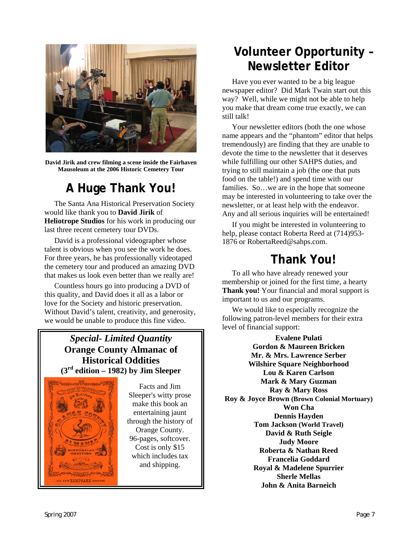

**David Jirik and crew filming a scene inside the Fairhaven Mausoleum at the 2006 Historic Cemetery Tour** 

#### **A Huge Thank You!**

The Santa Ana Historical Preservation Society would like thank you to **David Jirik** of **Heliotrope Studios** for his work in producing our last three recent cemetery tour DVDs.

David is a professional videographer whose talent is obvious when you see the work he does. For three years, he has professionally videotaped the cemetery tour and produced an amazing DVD that makes us look even better than we really are!

Countless hours go into producing a DVD of this quality, and David does it all as a labor or love for the Society and historic preservation. Without David's talent, creativity, and generosity, we would be unable to produce this fine video.

#### *Special- Limited Quantity*  **Orange County Almanac of Historical Oddities (3rd edition – 1982) by Jim Sleeper**



Sleeper's witty prose make this book an entertaining jaunt through the history of Orange County. 96-pages, softcover. Cost is only \$15 which includes tax and shipping.

### **Volunteer Opportunity – Newsletter Editor**

Have you ever wanted to be a big league newspaper editor? Did Mark Twain start out this way? Well, while we might not be able to help you make that dream come true exactly, we can still talk!

Your newsletter editors (both the one whose name appears and the "phantom" editor that helps tremendously) are finding that they are unable to devote the time to the newsletter that it deserves while fulfilling our other SAHPS duties, and trying to still maintain a job (the one that puts food on the table!) and spend time with our families. So…we are in the hope that someone may be interested in volunteering to take over the newsletter, or at least help with the endeavor. Any and all serious inquiries will be entertained!

If you might be interested in volunteering to help, please contact Roberta Reed at (714)953- 1876 or RobertaReed@sahps.com.

#### **Thank You!**

To all who have already renewed your membership or joined for the first time, a hearty **Thank you!** Your financial and moral support is important to us and our programs.

We would like to especially recognize the following patron-level members for their extra level of financial support:

**Evalene Pulati Gordon & Maureen Bricken Mr. & Mrs. Lawrence Serber Wilshire Square Neighborhood Lou & Karen Carlson**  Facts and Jim **and Structure 1.1 Mark & Mary Guzman Ray & Mary Ross Roy & Joyce Brown (Brown Colonial Mortuary) Won Cha Dennis Hayden Tom Jackson (World Travel) David & Ruth Seigle Judy Moore Roberta & Nathan Reed Francelia Goddard Royal & Madelene Spurrier Sherle Mellas John & Anita Barneich**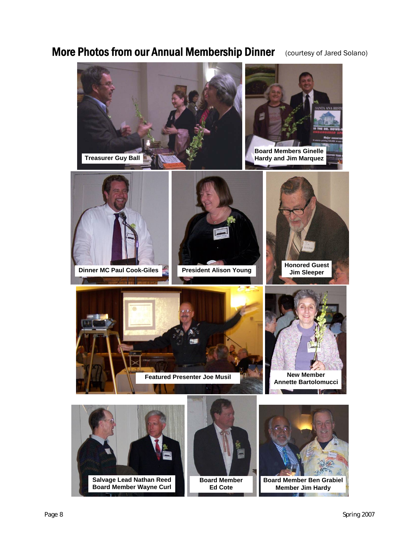#### More Photos from our Annual Membership Dinner (courtesy of Jared Solano)

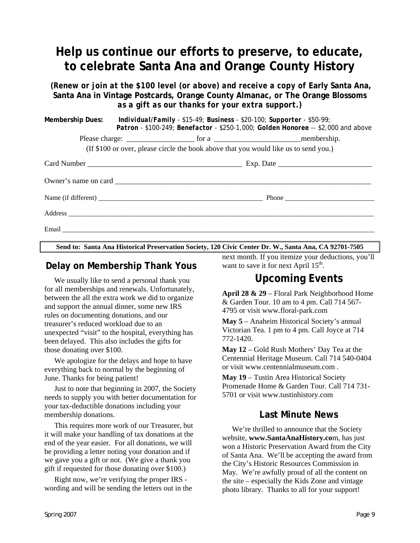#### **Help us continue our efforts to preserve, to educate, to celebrate Santa Ana and Orange County History**

*(Renew or join at the \$100 level (or above) and receive a copy of Early Santa Ana,* **Santa Ana in Vintage Postcards, Orange County Almanac,** *or* **The Orange Blossoms** *as a gift as our thanks for your extra support.)* 

|  | Membership Dues: Individual/Family - \$15-49; Business - \$20-100; Supporter - \$50-99; | Patron - \$100-249; Benefactor - \$250-1,000; Golden Honoree -- \$2,000 and above |
|--|-----------------------------------------------------------------------------------------|-----------------------------------------------------------------------------------|
|  |                                                                                         |                                                                                   |
|  | (If \$100 or over, please circle the book above that you would like us to send you.)    |                                                                                   |
|  |                                                                                         |                                                                                   |
|  |                                                                                         |                                                                                   |
|  |                                                                                         |                                                                                   |
|  |                                                                                         |                                                                                   |
|  |                                                                                         |                                                                                   |

**Send to: Santa Ana Historical Preservation Society, 120 Civic Center Dr. W., Santa Ana, CA 92701-7505** 

#### **Delay on Membership Thank Yous**

We usually like to send a personal thank you for all memberships and renewals. Unfortunately, between the all the extra work we did to organize and support the annual dinner, some new IRS rules on documenting donations, and our treasurer's reduced workload due to an unexpected "visit" to the hospital, everything has been delayed. This also includes the gifts for those donating over \$100.

We apologize for the delays and hope to have everything back to normal by the beginning of June. Thanks for being patient!

Just to note that beginning in 2007, the Society needs to supply you with better documentation for your tax-deductible donations including your membership donations.

This requires more work of our Treasurer, but it will make your handling of tax donations at the end of the year easier. For all donations, we will be providing a letter noting your donation and if we gave you a gift or not. (We give a thank you gift if requested for those donating over \$100.)

Right now, we're verifying the proper IRS wording and will be sending the letters out in the next month. If you itemize your deductions, you'll want to save it for next April  $15<sup>th</sup>$ .

#### **Upcoming Events**

**April 28 & 29** – Floral Park Neighborhood Home & Garden Tour. 10 am to 4 pm. Call 714 567- 4795 or visit www.floral-park.com

**May 5** – Anaheim Historical Society's annual Victorian Tea. 1 pm to 4 pm. Call Joyce at 714 772-1420.

**May 12** – Gold Rush Mothers' Day Tea at the Centennial Heritage Museum. Call 714 540-0404 or visit www.centennialmuseum.com .

**May 19** – Tustin Area Historical Society Promenade Home & Garden Tour. Call 714 731- 5701 or visit www.tustinhistory.com

#### **Last Minute News**

We're thrilled to announce that the Society website, **www.SantaAnaHistory.co**m, has just won a Historic Preservation Award from the City of Santa Ana. We'll be accepting the award from the City's Historic Resources Commission in May. We're awfully proud of all the content on the site – especially the Kids Zone and vintage photo library. Thanks to all for your support!